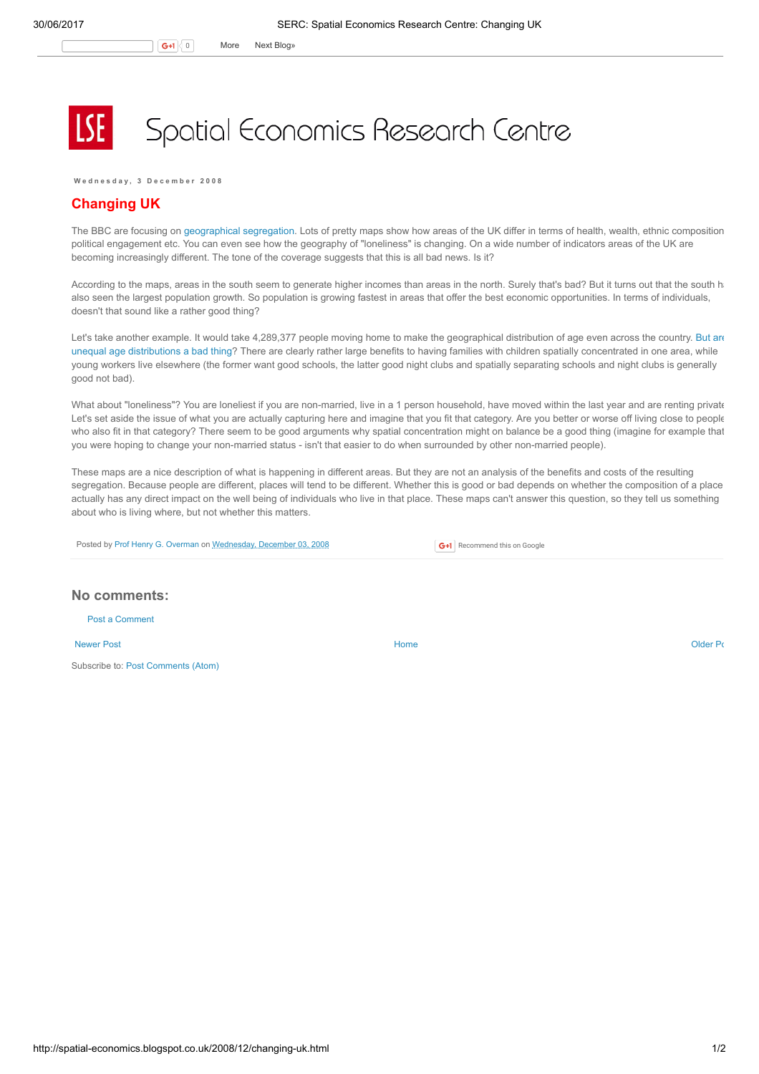## Spatial Economics Research Centre

Wednesday, 3 December 2008

## Changing UK

The BBC are focusing on [geographical](http://news.bbc.co.uk/1/shared/bsp/hi/pdfs/01_12_08_changinguk.pdf) segregation. Lots of pretty maps show how areas of the UK differ in terms of health, wealth, ethnic composition, political engagement etc. You can even see how the geography of "loneliness" is changing. On a wide number of indicators areas of the UK are becoming increasingly different. The tone of the coverage suggests that this is all bad news. Is it?

According to the maps, areas in the south seem to generate higher incomes than areas in the north. Surely that's bad? But it turns out that the south h also seen the largest population growth. So population is growing fastest in areas that offer the best economic opportunities. In terms of individuals, doesn't that sound like a rather good thing?

Let's take another example. It would take 4,289,377 people moving home to make the geographical distribution of age even across the country. But are unequal age distributions a bad thing? There are clearly rather large benefits to having families with children spatially [concentrated](http://www.centreforcities.org/index.php?id=148) in one area, while young workers live elsewhere (the former want good schools, the latter good night clubs and spatially separating schools and night clubs is generally good not bad).

What about "loneliness"? You are loneliest if you are non-married, live in a 1 person household, have moved within the last year and are renting private Let's set aside the issue of what you are actually capturing here and imagine that you fit that category. Are you better or worse off living close to people who also fit in that category? There seem to be good arguments why spatial concentration might on balance be a good thing (imagine for example that you were hoping to change your non-married status - isn't that easier to do when surrounded by other non-married people).

These maps are a nice description of what is happening in different areas. But they are not an analysis of the benefits and costs of the resulting segregation. Because people are different, places will tend to be different. Whether this is good or bad depends on whether the composition of a place actually has any direct impact on the well being of individuals who live in that place. These maps can't answer this question, so they tell us something about who is living where, but not whether this matters.

Posted by Prof Henry G. [Overman](https://www.blogger.com/profile/15203876610491317062) on [Wednesday,](http://spatial-economics.blogspot.co.uk/2008/12/changing-uk.html) December 03, 2008

G+1 Recommend this on Google

## No comments:

Post a [Comment](https://www.blogger.com/comment.g?blogID=974562301377041914&postID=1995270476812763465)

[Newer](http://spatial-economics.blogspot.co.uk/2008/12/congestion-charging.html) Post **New Account Contract Account Contract Account Contract Account Contract Account Contract [Older](http://spatial-economics.blogspot.co.uk/2008/11/response-to-sub-national-review.html) Post** 

Subscribe to: Post [Comments](http://spatial-economics.blogspot.com/feeds/1995270476812763465/comments/default) (Atom)